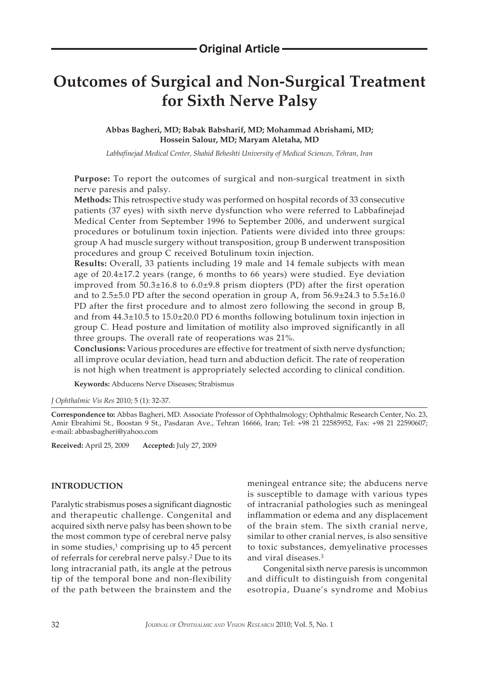# **Outcomes of Surgical and Non-Surgical Treatment for Sixth Nerve Palsy**

**Abbas Bagheri, MD; Babak Babsharif, MD; Mohammad Abrishami, MD; Hossein Salour, MD; Maryam Aletaha, MD**

*Labbafinejad Medical Center, Shahid Beheshti University of Medical Sciences, Tehran, Iran*

**Purpose:** To report the outcomes of surgical and non-surgical treatment in sixth nerve paresis and palsy.

**Methods:** This retrospective study was performed on hospital records of 33 consecutive patients (37 eyes) with sixth nerve dysfunction who were referred to Labbafinejad Medical Center from September 1996 to September 2006, and underwent surgical procedures or botulinum toxin injection. Patients were divided into three groups: group A had muscle surgery without transposition, group B underwent transposition procedures and group C received Botulinum toxin injection.

**Results:** Overall, 33 patients including 19 male and 14 female subjects with mean age of 20.4±17.2 years (range, 6 months to 66 years) were studied. Eye deviation improved from 50.3±16.8 to 6.0±9.8 prism diopters (PD) after the first operation and to  $2.5\pm5.0$  PD after the second operation in group A, from  $56.9\pm24.3$  to  $5.5\pm16.0$ PD after the first procedure and to almost zero following the second in group B, and from 44.3±10.5 to 15.0±20.0 PD 6 months following botulinum toxin injection in group C. Head posture and limitation of motility also improved significantly in all three groups. The overall rate of reoperations was 21%.

**Conclusions:** Various procedures are effective for treatment of sixth nerve dysfunction; all improve ocular deviation, head turn and abduction deficit. The rate of reoperation is not high when treatment is appropriately selected according to clinical condition.

**Keywords:** Abducens Nerve Diseases; Strabismus

*J Ophthalmic Vis Res* 2010; 5 (1): 32-37.

**Correspondence to:** Abbas Bagheri, MD. Associate Professor of Ophthalmology; Ophthalmic Research Center, No. 23, Amir Ebrahimi St., Boostan 9 St., Pasdaran Ave., Tehran 16666, Iran; Tel: +98 21 22585952, Fax: +98 21 22590607; e-mail: abbasbagheri@yahoo.com

**Received:** April 25, 2009 **Accepted:** July 27, 2009

## **INTRODUCTION**

Paralytic strabismus poses a significant diagnostic and therapeutic challenge. Congenital and acquired sixth nerve palsy has been shown to be the most common type of cerebral nerve palsy in some studies, $1$  comprising up to 45 percent of referrals for cerebral nerve palsy.2 Due to its long intracranial path, its angle at the petrous tip of the temporal bone and non-flexibility of the path between the brainstem and the

meningeal entrance site; the abducens nerve is susceptible to damage with various types of intracranial pathologies such as meningeal inflammation or edema and any displacement of the brain stem. The sixth cranial nerve, similar to other cranial nerves, is also sensitive to toxic substances, demyelinative processes and viral diseases.3

Congenital sixth nerve paresis is uncommon and difficult to distinguish from congenital esotropia, Duane's syndrome and Mobius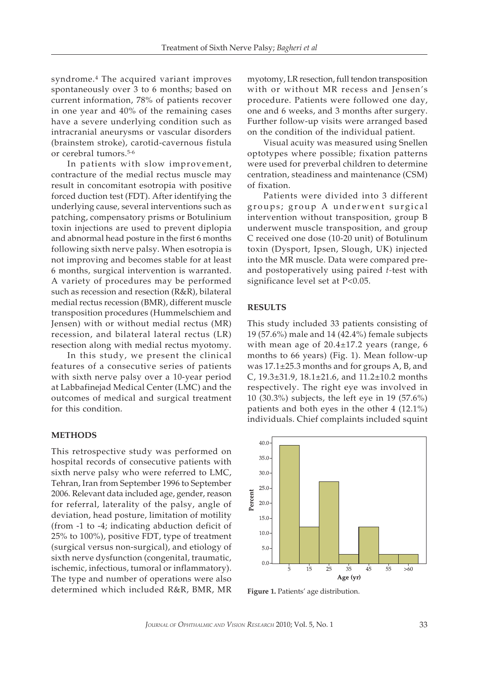syndrome.4 The acquired variant improves spontaneously over 3 to 6 months; based on current information, 78% of patients recover in one year and 40% of the remaining cases have a severe underlying condition such as intracranial aneurysms or vascular disorders (brainstem stroke), carotid-cavernous fistula or cerebral tumors.5-6

In patients with slow improvement, contracture of the medial rectus muscle may result in concomitant esotropia with positive forced duction test (FDT). After identifying the underlying cause, several interventions such as patching, compensatory prisms or Botulinium toxin injections are used to prevent diplopia and abnormal head posture in the first 6 months following sixth nerve palsy. When esotropia is not improving and becomes stable for at least 6 months, surgical intervention is warranted. A variety of procedures may be performed such as recession and resection (R&R), bilateral medial rectus recession (BMR), different muscle transposition procedures (Hummelschiem and Jensen) with or without medial rectus (MR) recession, and bilateral lateral rectus (LR) resection along with medial rectus myotomy.

In this study, we present the clinical features of a consecutive series of patients with sixth nerve palsy over a 10-year period at Labbafinejad Medical Center (LMC) and the outcomes of medical and surgical treatment for this condition.

#### **METHODS**

This retrospective study was performed on hospital records of consecutive patients with sixth nerve palsy who were referred to LMC, Tehran, Iran from September 1996 to September 2006. Relevant data included age, gender, reason for referral, laterality of the palsy, angle of deviation, head posture, limitation of motility (from -1 to -4; indicating abduction deficit of 25% to 100%), positive FDT, type of treatment (surgical versus non-surgical), and etiology of sixth nerve dysfunction (congenital, traumatic, ischemic, infectious, tumoral or inflammatory). The type and number of operations were also determined which included R&R, BMR, MR

myotomy, LR resection, full tendon transposition with or without MR recess and Jensen's procedure. Patients were followed one day, one and 6 weeks, and 3 months after surgery. Further follow-up visits were arranged based on the condition of the individual patient.

Visual acuity was measured using Snellen optotypes where possible; fixation patterns were used for preverbal children to determine centration, steadiness and maintenance (CSM) of fixation.

Patients were divided into 3 different groups; group A underwent surgical intervention without transposition, group B underwent muscle transposition, and group C received one dose (10-20 unit) of Botulinum toxin (Dysport, Ipsen, Slough, UK) injected into the MR muscle. Data were compared preand postoperatively using paired *t-*test with significance level set at P<0.05.

#### **RESULTS**

This study included 33 patients consisting of 19 (57.6%) male and 14 (42.4%) female subjects with mean age of 20.4±17.2 years (range, 6 months to 66 years) (Fig. 1). Mean follow-up was 17.1±25.3 months and for groups A, B, and C, 19.3±31.9, 18.1±21.6, and 11.2±10.2 months respectively. The right eye was involved in 10 (30.3%) subjects, the left eye in 19 (57.6%) patients and both eyes in the other 4 (12.1%) individuals. Chief complaints included squint



**Figure 1.** Patients' age distribution.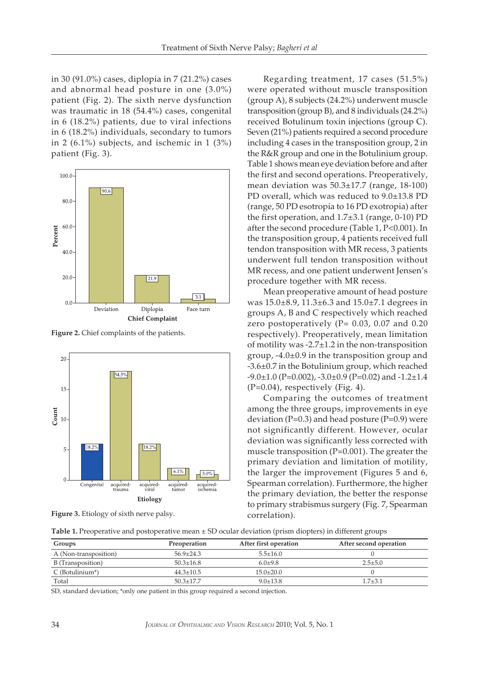in 30 (91.0%) cases, diplopia in 7 (21.2%) cases and abnormal head posture in one (3.0%) patient (Fig. 2). The sixth nerve dysfunction was traumatic in 18 (54.4%) cases, congenital in 6 (18.2%) patients, due to viral infections in 6 (18.2%) individuals, secondary to tumors in 2 (6.1%) subjects, and ischemic in 1 (3%) patient (Fig. 3).



**Figure 2.** Chief complaints of the patients.



**Figure 3.** Etiology of sixth nerve palsy.

Regarding treatment, 17 cases (51.5%) were operated without muscle transposition (group A), 8 subjects (24.2%) underwent muscle transposition (group B), and 8 individuals (24.2%) received Botulinum toxin injections (group C). Seven (21%) patients required a second procedure including 4 cases in the transposition group, 2 in the R&R group and one in the Botulinium group. Table 1 shows mean eye deviation before and after the first and second operations. Preoperatively, mean deviation was 50.3±17.7 (range, 18-100) PD overall, which was reduced to 9.0±13.8 PD (range, 50 PD esotropia to 16 PD exotropia) after the first operation, and 1.7±3.1 (range, 0-10) PD after the second procedure (Table 1, P<0.001). In the transposition group, 4 patients received full tendon transposition with MR recess, 3 patients underwent full tendon transposition without MR recess, and one patient underwent Jensen's procedure together with MR recess.

Mean preoperative amount of head posture was 15.0±8.9, 11.3±6.3 and 15.0±7.1 degrees in groups A, B and C respectively which reached zero postoperatively ( $P= 0.03$ , 0.07 and 0.20 respectively). Preoperatively, mean limitation of motility was  $-2.7\pm1.2$  in the non-transposition group, -4.0±0.9 in the transposition group and -3.6±0.7 in the Botulinium group, which reached  $-9.0 \pm 1.0$  (P=0.002),  $-3.0 \pm 0.9$  (P=0.02) and  $-1.2 \pm 1.4$  $(P=0.04)$ , respectively (Fig. 4).

Comparing the outcomes of treatment among the three groups, improvements in eye deviation ( $P=0.3$ ) and head posture ( $P=0.9$ ) were not significantly different. However, ocular deviation was significantly less corrected with muscle transposition (P=0.001). The greater the primary deviation and limitation of motility, the larger the improvement (Figures 5 and 6, Spearman correlation). Furthermore, the higher the primary deviation, the better the response to primary strabismus surgery (Fig. 7, Spearman correlation).

| ${\sf Table~1}.$ Preoperative and postoperative mean $\pm$ SD ocular deviation (prism diopters) in different groups |
|---------------------------------------------------------------------------------------------------------------------|
|---------------------------------------------------------------------------------------------------------------------|

| Groups                         | Preoperation    | After first operation | After second operation |
|--------------------------------|-----------------|-----------------------|------------------------|
| A (Non-transposition)          | $56.9 + 24.3$   | $5.5 + 16.0$          |                        |
| B (Transposition)              | $50.3 + 16.8$   | $6.0 + 9.8$           | $2.5 + 5.0$            |
| $C$ (Botulinium <sup>*</sup> ) | $44.3 + 10.5$   | $15.0 + 20.0$         |                        |
| Total                          | $50.3 \pm 17.7$ | $9.0 + 13.8$          | 1.7±3.1                |

SD, standard deviation; \*only one patient in this group required a second injection.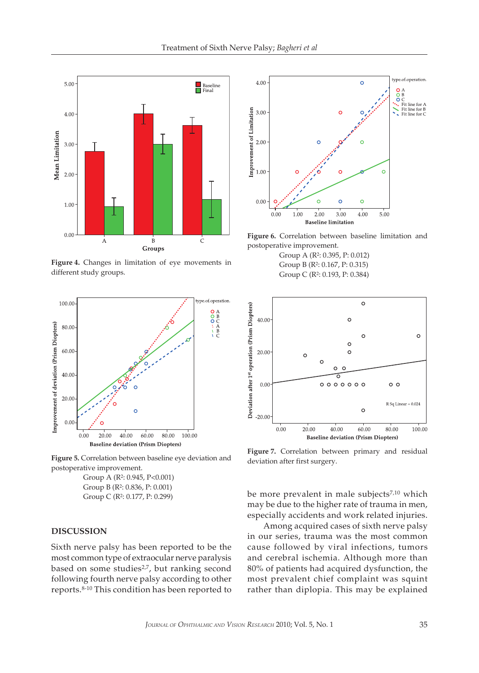

**Figure 4.** Changes in limitation of eye movements in different study groups.



**Figure 5.** Correlation between baseline eye deviation and postoperative improvement.

Group A (R2: 0.945, P<0.001) Group B (R2: 0.836, P: 0.001) Group C (R2: 0.177, P: 0.299)

## **DISCUSSION**

Sixth nerve palsy has been reported to be the most common type of extraocular nerve paralysis based on some studies<sup>2,7</sup>, but ranking second following fourth nerve palsy according to other reports.8-10 This condition has been reported to



**Figure 6.** Correlation between baseline limitation and postoperative improvement.

Group A (R2: 0.395, P: 0.012) Group B (R2: 0.167, P: 0.315) Group C (R2: 0.193, P: 0.384)



**Figure 7.** Correlation between primary and residual deviation after first surgery.

be more prevalent in male subjects<sup>7,10</sup> which may be due to the higher rate of trauma in men, especially accidents and work related injuries.

Among acquired cases of sixth nerve palsy in our series, trauma was the most common cause followed by viral infections, tumors and cerebral ischemia. Although more than 80% of patients had acquired dysfunction, the most prevalent chief complaint was squint rather than diplopia. This may be explained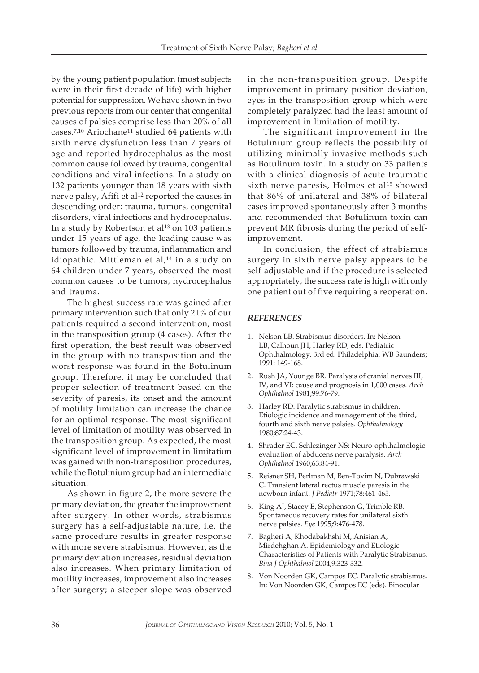by the young patient population (most subjects were in their first decade of life) with higher potential for suppression. We have shown in two previous reports from our center that congenital causes of palsies comprise less than 20% of all cases.7,10 Ariochane11 studied 64 patients with sixth nerve dysfunction less than 7 years of age and reported hydrocephalus as the most common cause followed by trauma, congenital conditions and viral infections. In a study on 132 patients younger than 18 years with sixth nerve palsy, Afifi et al<sup>12</sup> reported the causes in descending order: trauma, tumors, congenital disorders, viral infections and hydrocephalus. In a study by Robertson et al<sup>13</sup> on 103 patients under 15 years of age, the leading cause was tumors followed by trauma, inflammation and idiopathic. Mittleman et al,<sup>14</sup> in a study on 64 children under 7 years, observed the most common causes to be tumors, hydrocephalus and trauma.

The highest success rate was gained after primary intervention such that only 21% of our patients required a second intervention, most in the transposition group (4 cases). After the first operation, the best result was observed in the group with no transposition and the worst response was found in the Botulinum group. Therefore, it may be concluded that proper selection of treatment based on the severity of paresis, its onset and the amount of motility limitation can increase the chance for an optimal response. The most significant level of limitation of motility was observed in the transposition group. As expected, the most significant level of improvement in limitation was gained with non-transposition procedures, while the Botulinium group had an intermediate situation.

As shown in figure 2, the more severe the primary deviation, the greater the improvement after surgery. In other words, strabismus surgery has a self-adjustable nature, i.e. the same procedure results in greater response with more severe strabismus. However, as the primary deviation increases, residual deviation also increases. When primary limitation of motility increases, improvement also increases after surgery; a steeper slope was observed

in the non-transposition group. Despite improvement in primary position deviation, eyes in the transposition group which were completely paralyzed had the least amount of improvement in limitation of motility.

The significant improvement in the Botulinium group reflects the possibility of utilizing minimally invasive methods such as Botulinum toxin. In a study on 33 patients with a clinical diagnosis of acute traumatic sixth nerve paresis, Holmes et al<sup>15</sup> showed that 86% of unilateral and 38% of bilateral cases improved spontaneously after 3 months and recommended that Botulinum toxin can prevent MR fibrosis during the period of selfimprovement.

In conclusion, the effect of strabismus surgery in sixth nerve palsy appears to be self-adjustable and if the procedure is selected appropriately, the success rate is high with only one patient out of five requiring a reoperation.

### *REFERENCES*

- 1. Nelson LB. Strabismus disorders. In: Nelson LB, Calhoun JH, Harley RD, eds. Pediatric Ophthalmology. 3rd ed. Philadelphia: WB Saunders; 1991: 149-168.
- 2. Rush JA, Younge BR. Paralysis of cranial nerves III, IV, and VI: cause and prognosis in 1,000 cases. *Arch Ophthalmol* 1981;99:76-79.
- 3. Harley RD. Paralytic strabismus in children. Etiologic incidence and management of the third, fourth and sixth nerve palsies. *Ophthalmology* 1980;87:24-43.
- 4. Shrader EC, Schlezinger NS: Neuro-ophthalmologic evaluation of abducens nerve paralysis. *Arch Ophthalmol* 1960;63:84-91.
- 5. Reisner SH, Perlman M, Ben-Tovim N, Dubrawski C. Transient lateral rectus muscle paresis in the newborn infant. *J Pediatr* 1971;78:461-465.
- 6. King AJ, Stacey E, Stephenson G, Trimble RB. Spontaneous recovery rates for unilateral sixth nerve palsies. *Eye* 1995;9:476-478.
- 7. Bagheri A, Khodabakhshi M, Anisian A, Mirdehghan A. Epidemiology and Etiologic Characteristics of Patients with Paralytic Strabismus. *Bina J Ophthalmol* 2004;9:323-332.
- 8. Von Noorden GK, Campos EC. Paralytic strabismus. In: Von Noorden GK, Campos EC (eds). Binocular